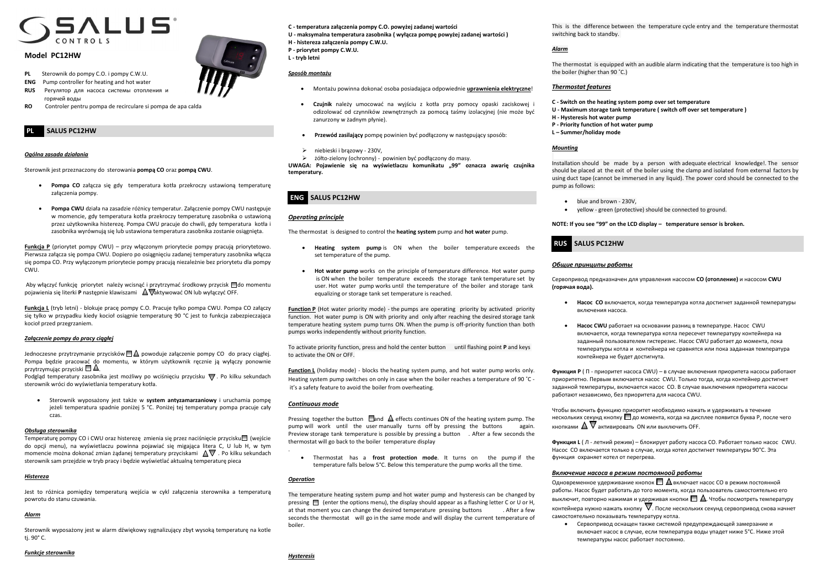

# **Model PC12HW**

- **PL** Sterownik do pompy C.O. i pompy C.W.U.
- **ENG** Pump controller for heating and hot water
- **RUS** Регулятор для насоса системы отопления и горячей воды
- **RO** Controler pentru pompa de recirculare si pompa de apa calda

# **PL SALUS PC12HW**

# *Ogólna zasada działania*

Sterownik jest przeznaczony do sterowania **pompą CO** oraz **pompą CWU**.

- **Pompa CO** załącza się gdy temperatura kotła przekroczy ustawioną temperaturę załączenia pompy.
- **Pompa CWU** działa na zasadzie różnicy temperatur. Załączenie pompy CWU następuje w momencie, gdy temperatura kotła przekroczy temperaturę zasobnika o ustawioną przez użytkownika histerezę. Pompa CWU pracuje do chwili, gdy temperatura kotła i zasobnika wyrównują się lub ustawiona temperatura zasobnika zostanie osiągnięta.

Podgląd temperatury zasobnika jest możliwy po wciśnięciu przycisku  $\nabla$ . Po kilku sekundach sterownik wróci do wyświetlania temperatury kotła.

**Funkcja P** (priorytet pompy CWU) – przy włączonym priorytecie pompy pracują priorytetowo. Pierwsza załącza się pompa CWU. Dopiero po osiągnięciu zadanej temperatury zasobnika włącza się pompa CO. Przy wyłączonym priorytecie pompy pracują niezależnie bez priorytetu dla pompy CWU.

Aby włączyć funkcję priorytet należy wcisnąć i przytrzymać środkowy przycisk  $\Box$  do momentu pojawienia się literki P następnie klawiszami  $\Delta \nabla$ aktywować ON lub wyłączyć OFF.

Temperaturę pompy CO i CWU oraz histerezę zmienia się przez naciśnięcie przycisku□ (wejście do opcji menu), na wyświetlaczu powinna pojawiać się migająca litera C, U lub H, w tym momencie można dokonać zmian żądanej temperatury przyciskami  $\Delta \nabla$ . Po kilku sekundach sterownik sam przejdzie w tryb pracy i będzie wyświetlać aktualną temperaturę pieca

**Funkcja L** (tryb letni) - blokuje pracę pompy C.O. Pracuje tylko pompa CWU. Pompa CO załączy się tylko w przypadku kiedy kocioł osiągnie temperaturę 90 °C jest to funkcja zabezpieczająca kocioł przed przegrzaniem.

# *Załączenie pompy do pracy ciągłej*

Jednoczesne przytrzymanie przycisków  $\Box\Delta$  powoduje załączenie pompy CO do pracy ciągłej. Pompa będzie pracować do momentu, w którym użytkownik ręcznie ją wyłączy ponownie przytrzymując przyciski  $\square$   $\triangle$ .

 Sterownik wyposażony jest także w **system antyzamarzaniowy** i uruchamia pompę jeżeli temperatura spadnie poniżej 5 °C. Poniżej tej temperatury pompa pracuje cały czas.

#### *Obsługa sterownika*

## *Histereza*

Jest to różnica pomiędzy temperaturą wejścia w cykl załączenia sterownika a temperaturą powrotu do stanu czuwania.

Pressing together the button  $\Box$  and  $\triangle$  effects continues ON of the heating system pump. The pump will work until the user manually turns off by pressing the buttons again. Preview storage tank temperature is possible by pressing a button . After a few seconds the thermostat will go back to the boiler temperature display

### *Alarm*

Sterownik wyposażony jest w alarm dźwiękowy sygnalizujący zbyt wysoką temperaturę na kotle tj. 90° C.

**C - temperatura załączenia pompy C.O. powyżej zadanej wartości** 

**U - maksymalna temperatura zasobnika ( wyłącza pompę powyżej zadanej wartości )**

- **H - histereza załączenia pompy C.W.U.**
- **P - priorytet pompy C.W.U.**
- **L - tryb letni**

# *Sposób montażu*

- Montażu powinna dokonać osoba posiadająca odpowiednie **uprawnienia elektryczne**!
- **Czujnik** należy umocować na wyjściu z kotła przy pomocy opaski zaciskowej i odizolować od czynników zewnętrznych za pomocą taśmy izolacyjnej (nie może być zanurzony w żadnym płynie).
- **Przewód zasilający** pompę powinien być podłączony w następujący sposób:
- niebieski i brązowy 230V,
- żółto-zielony (ochronny) powinien być podłączony do masy.

**UWAGA: Pojawienie się na wyświetlaczu komunikatu "99" oznacza awarię czujnika temperatury.**

# **ENG SALUS PC12HW**

# *Operating principle*

The thermostat is designed to control the **heating system** pump and **hot water** pump.

Чтобы включить функцию приоритет необходимо нажать и удерживать в течение нескольких секунд кнопку  $\Box$  до момента, когда на дисплее появится буква Р, после чего кнопками  $\Delta \nabla$  активировать ON или выключить OFF.

- **Heating system pump** is ON when the boiler temperature exceeds the set temperature of the pump.
- **Hot water pump** works on the principle of temperature difference. Hot water pump is ON when the boiler temperature exceeds the storage tank temperature set by user. Hot water pump works until the temperature of the boiler and storage tank equalizing or storage tank set temperature is reached.

**Function P** (Hot water priority mode) - the pumps are operating priority by activated priority function. Hot water pump is ON with priority and only after reaching the desired storage tank temperature heating system pump turns ON. When the pump is off-priority function than both pumps works independently without priority function.

> Одновременное удерживание кнопок  $\Box$   $\Delta$  включает насос CO в режим постоянной работы. Насос будет работать до того момента, когда пользователь самостоятельно его выключит, повторно нажимая и удерживая кнопки  $\Box$   $\Delta$ . Чтобы посмотреть температуру контейнера нужно нажать кнопку  $\nabla$ . После нескольких секунд сервопривод снова начнет самостоятельно показывать температуру котла.

To activate priority function, press and hold the center button until flashing point **P** and keys to activate the ON or OFF.

**Function L** (holiday mode) - blocks the heating system pump, and hot water pump works only. Heating system pump switches on only in case when the boiler reaches a temperature of 90 ˚C it's a safety feature to avoid the boiler from overheating.

# *Continuous mode*

.

 Thermostat has a **frost protection mode**. It turns on the pump if the temperature falls below 5°C. Below this temperature the pump works all the time.

# *Operation*

The temperature heating system pump and hot water pump and hysteresis can be changed by pressing  $\Box$  (enter the options menu), the display should appear as a flashing letter C or U or H, at that moment you can change the desired temperature pressing buttons . After a few seconds the thermostat will go in the same mode and will display the current temperature of boiler.



This is the difference between the temperature cycle entry and the temperature thermostat

switching back to standby.

# *Alarm*

The thermostat is equipped with an audible alarm indicating that the temperature is too high in the boiler (higher than 90 ˚C.)

# *Thermostat features*

**C - Switch on the heating system pomp over set temperature U - Maximum storage tank temperature ( switch off over set temperature )**

- 
- **H - Hysteresis hot water pump**
- **P - Priority function of hot water pump**
- **L – Summer/holiday mode**

## *Mounting*

Installation should be made by a person with adequate electrical knowledge!. The sensor should be placed at the exit of the boiler using the clamp and isolated from external factors by using duct tape (cannot be immersed in any liquid). The power cord should be connected to the

pump as follows:

- blue and brown 230V,
- 

yellow - green (protective) should be connected to ground.

**NOTE: If you see "99" on the LCD display – temperature sensor is broken.**

# **RUS SALUS PC12HW**

# *Общие принципы работы*

Сервопривод предназначен для управления насосом **СО (отопление)** и насосом **CWU** 

**(горячая вода).**

**Насос СО** включается, когда температура котла достигнет заданной температуры

 **Насос CWU** работает на основании разниц в температуре. Насос CWU включается, когда температура котла пересечет температуру контейнерa на заданный пользователем гистерезис. Насос CWU работает до момента, пока температуры котла и контейнерa не сравнятся или пока заданная температура

- включения насоса.
- контейнерa не будет достигнута.

**Функция P** ( П - приоритет насоса CWU) – в случае включения приоритета насосы работают приоритетно. Первым включается насос CWU. Только тогда, когда контейнер достигнет заданной температуры, включается насос CO. В случае выключения приоритета насосы работают независимо, без приоритета для насоса CWU.

**Функция L** ( Л - летний режим) – блокирует работу насоса CO. Работает только насос CWU. Насос CO включается только в случае, когда котел достигнет температуры 90°C. Эта функция охраняет котел от перегрева.

# *Включение насоса в режим постояноой работы*

 Сервопривод оснащен также системой предупреждающей замерзание и включает насос в случае, если температура воды упадет ниже 5°C. Ниже этой температуры насос работает постоянно.